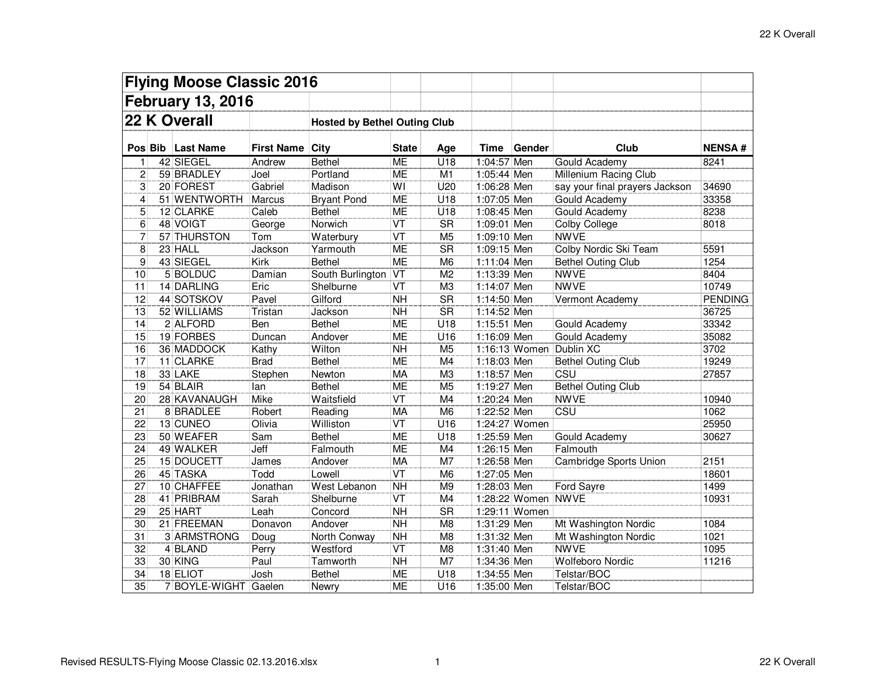| <b>Flying Moose Classic 2016</b> |  |                   |                                     |                    |                                   |                        |             |                    |                                |                  |
|----------------------------------|--|-------------------|-------------------------------------|--------------------|-----------------------------------|------------------------|-------------|--------------------|--------------------------------|------------------|
| <b>February 13, 2016</b>         |  |                   |                                     |                    |                                   |                        |             |                    |                                |                  |
| 22 K Overall                     |  |                   | <b>Hosted by Bethel Outing Club</b> |                    |                                   |                        |             |                    |                                |                  |
|                                  |  | Pos Bib Last Name | <b>First Name</b>                   | <b>City</b>        | <b>State</b>                      | Age                    | Time        | Gender             | Club                           | <b>NENSA#</b>    |
| $\mathbf{1}$                     |  | 42 SIEGEL         | Andrew                              | <b>Bethel</b>      | <b>ME</b>                         | U18                    | 1:04:57 Men |                    | Gould Academy                  | 8241             |
| $\overline{c}$                   |  | 59 BRADLEY        | Joel                                | Portland           | ME                                | M <sub>1</sub>         | 1:05:44 Men |                    | Millenium Racing Club          |                  |
| 3                                |  | 20 FOREST         | Gabriel                             | Madison            | WI                                | U20                    | 1:06:28 Men |                    | say your final prayers Jackson | 34690            |
| 4                                |  | 51 WENTWORTH      | Marcus                              | <b>Bryant Pond</b> | ME                                | U18                    | 1:07:05 Men |                    | Gould Academy                  | 33358            |
| 5                                |  | 12 CLARKE         | Caleb                               | <b>Bethel</b>      | <b>ME</b>                         | U18                    | 1:08:45 Men |                    | Gould Academy                  | 8238             |
| $\overline{6}$                   |  | 48 VOIGT          | George                              | Norwich            | $\overline{\text{VT}}$            | $\overline{\text{SR}}$ | 1:09:01 Men |                    | <b>Colby College</b>           | 8018             |
| $\overline{7}$                   |  | 57 THURSTON       | Tom                                 | Waterbury          | $\overline{\text{VT}}$            | M <sub>5</sub>         | 1:09:10 Men |                    | <b>NWVE</b>                    |                  |
| $\overline{8}$                   |  | 23 HALL           | Jackson                             | Yarmouth           | <b>ME</b>                         | <b>SR</b>              | 1:09:15 Men |                    | Colby Nordic Ski Team          | 5591             |
| $\overline{9}$                   |  | 43 SIEGEL         | Kirk                                | <b>Bethel</b>      | <b>ME</b>                         | M <sub>6</sub>         | 1:11:04 Men |                    | <b>Bethel Outing Club</b>      | 1254             |
| $\overline{10}$                  |  | 5 BOLDUC          | Damian                              | South Burlington   | $\overline{\mathsf{V}\mathsf{T}}$ | M <sub>2</sub>         | 1:13:39 Men |                    | <b>NWVE</b>                    | 8404             |
| 11                               |  | 14 DARLING        | Eric                                | Shelburne          | $\overline{\text{VT}}$            | M <sub>3</sub>         | 1:14:07 Men |                    | <b>NWVE</b>                    | 10749            |
| 12                               |  | 44 SOTSKOV        | Pavel                               | Gilford            | $\overline{NH}$                   | $\overline{\text{SR}}$ | 1:14:50 Men |                    | Vermont Academy                | <b>PENDING</b>   |
| 13                               |  | 52 WILLIAMS       | Tristan                             | Jackson            | <b>NH</b>                         | <b>SR</b>              | 1:14:52 Men |                    |                                | 36725            |
| 14                               |  | 2 ALFORD          | Ben                                 | <b>Bethel</b>      | <b>ME</b>                         | U18                    | 1:15:51 Men |                    | Gould Academy                  | 33342            |
| 15                               |  | 19 FORBES         | Duncan                              | Andover            | <b>ME</b>                         | U16                    | 1:16:09 Men |                    | Gould Academy                  | 35082            |
| 16                               |  | 36 MADDOCK        | Kathy                               | Wilton             | $\overline{NH}$                   | M <sub>5</sub>         |             |                    | 1:16:13 Women Dublin XC        | 3702             |
| 17                               |  | 11 CLARKE         | <b>Brad</b>                         | <b>Bethel</b>      | <b>ME</b>                         | M4                     | 1:18:03 Men |                    | <b>Bethel Outing Club</b>      | 19249            |
| $\overline{18}$                  |  | 33 LAKE           | Stephen                             | Newton             | MA                                | M <sub>3</sub>         | 1:18:57 Men |                    | CSU                            | 27857            |
| $\overline{19}$                  |  | 54 BLAIR          | lan                                 | Bethel             | <b>ME</b>                         | M <sub>5</sub>         | 1:19:27 Men |                    | <b>Bethel Outing Club</b>      |                  |
| 20                               |  | 28 KAVANAUGH      | <b>Mike</b>                         | Waitsfield         | $\overline{\mathsf{VT}}$          | M4                     | 1:20:24 Men |                    | <b>NWVE</b>                    | 10940            |
| $\overline{21}$                  |  | 8 BRADLEE         | Robert                              | Reading            | <b>MA</b>                         | M <sub>6</sub>         | 1:22:52 Men |                    | CSU                            | 1062             |
| $\overline{22}$                  |  | 13 CUNEO          | Olivia                              | Williston          | $\overline{\text{VT}}$            | $\overline{U16}$       |             | 1:24:27 Women      |                                | 25950            |
| 23                               |  | 50 WEAFER         | Sam                                 | <b>Bethel</b>      | <b>ME</b>                         | U18                    | 1:25:59 Men |                    | Gould Academy                  | 30627            |
| 24                               |  | 49 WALKER         | Jeff                                | Falmouth           | <b>ME</b>                         | M4                     | 1:26:15 Men |                    | Falmouth                       |                  |
| 25                               |  | 15 DOUCETT        | James                               | Andover            | <b>MA</b>                         | M7                     | 1:26:58 Men |                    | Cambridge Sports Union         | 2151             |
| 26                               |  | 45 TASKA          | Todd                                | Lowell             | VT                                | M <sub>6</sub>         | 1:27:05 Men |                    |                                | 18601            |
| $\overline{27}$                  |  | 10 CHAFFEE        | Jonathan                            | West Lebanon       | $\overline{NH}$                   | M <sub>9</sub>         | 1:28:03 Men |                    | Ford Sayre                     | 1499             |
| 28                               |  | 41 PRIBRAM        | Sarah                               | Shelburne          | VT                                | M4                     |             | 1:28:22 Women NWVE |                                | 10931            |
| 29                               |  | 25 HART           | Leah                                | Concord            | $\overline{NH}$                   | <b>SR</b>              |             | 1:29:11 Women      |                                |                  |
| 30                               |  | 21 FREEMAN        | Donavon                             | Andover            | $\overline{NH}$                   | M <sub>8</sub>         | 1:31:29 Men |                    | Mt Washington Nordic           | 1084             |
| $\overline{31}$                  |  | 3 ARMSTRONG       | Doug                                | North Conway       | $\overline{NH}$                   | M8                     | 1:31:32 Men |                    | Mt Washington Nordic           | $\frac{1021}{x}$ |
| $\overline{32}$                  |  | 4 BLAND           | Perry                               | Westford           | <b>VT</b>                         | M <sub>8</sub>         | 1:31:40 Men |                    | <b>NWVE</b>                    | 1095             |
| 33                               |  | 30 KING           | Paul                                | Tamworth           | $\overline{NH}$                   | M <sub>7</sub>         | 1:34:36 Men |                    | Wolfeboro Nordic               | 11216            |
| $\overline{34}$                  |  | 18 ELIOT          | Josh                                | <b>Bethel</b>      | <b>ME</b>                         | U18                    | 1:34:55 Men |                    | Telstar/BOC                    |                  |
| $\overline{35}$                  |  | 7 BOYLE-WIGHT     | Gaelen                              | Newry              | <b>ME</b>                         | $\overline{U16}$       | 1:35:00 Men |                    | Telstar/BOC                    |                  |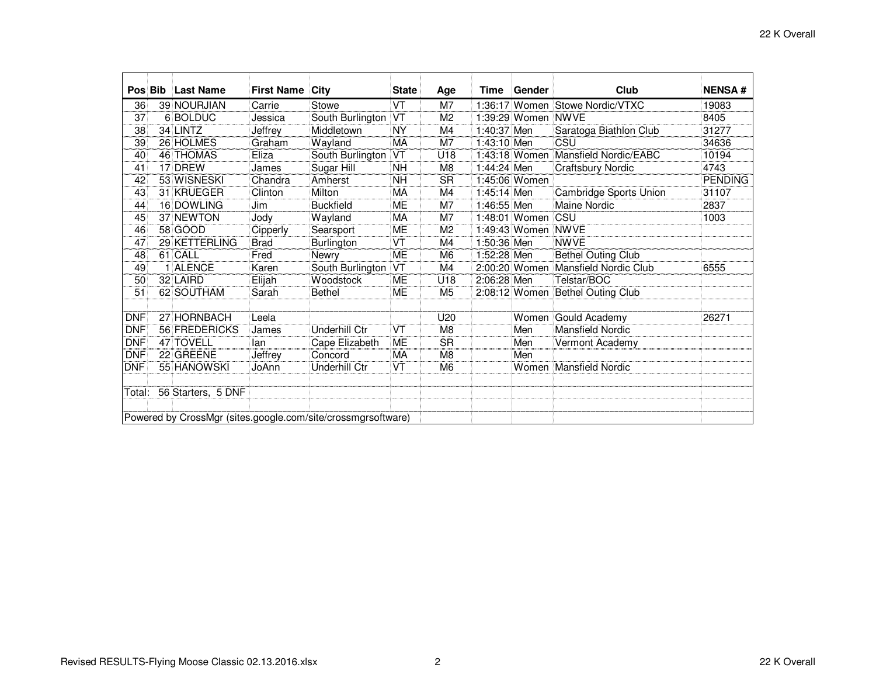|            | Pos Bib                                                      | <b>Last Name</b>   | <b>First Name City</b> |                      | <b>State</b>           | Age            | Time        | Gender             | Club                                | <b>NENSA#</b>  |  |
|------------|--------------------------------------------------------------|--------------------|------------------------|----------------------|------------------------|----------------|-------------|--------------------|-------------------------------------|----------------|--|
|            |                                                              |                    |                        |                      |                        |                |             |                    |                                     |                |  |
| 36         |                                                              | 39 NOURJIAN        | Carrie                 | Stowe                | VT                     | M <sub>7</sub> |             |                    | 1:36:17 Women Stowe Nordic/VTXC     | 19083          |  |
| 37         |                                                              | 6 BOLDUC           | Jessica                | South Burlington     | $\overline{\text{VT}}$ | M <sub>2</sub> |             | 1:39:29 Women NWVE |                                     | 8405           |  |
| 38         |                                                              | 34 LINTZ           | Jeffrey                | Middletown           | <b>NY</b>              | M4             | 1:40:37 Men |                    | Saratoga Biathlon Club              | 31277          |  |
| 39         |                                                              | 26 HOLMES          | Graham                 | Wayland              | MA                     | M7             | 1:43:10 Men |                    | CSU                                 | 34636          |  |
| 40         |                                                              | 46 THOMAS          | Eliza                  | South Burlington     | VT)                    | U18            |             | 1:43:18 Women      | Mansfield Nordic/EABC               | 10194          |  |
| 41         |                                                              | 17 DREW            | James                  | Sugar Hill           | <b>NH</b>              | M <sub>8</sub> | 1:44:24 Men |                    | <b>Craftsbury Nordic</b>            | 4743           |  |
| 42         |                                                              | 53 WISNESKI        | Chandra                | Amherst              | 'NΗ                    | <b>SR</b>      |             | 1:45:06 Women      |                                     | <b>PENDING</b> |  |
| 43         |                                                              | 31 KRUEGER         | Clinton                | Milton               | MA                     | M4             | 1:45:14 Men |                    | Cambridge Sports Union              | 31107          |  |
| 44         |                                                              | 16 DOWLING         | Jim                    | <b>Buckfield</b>     | ME                     | M7             | 1:46:55 Men |                    | <b>Maine Nordic</b>                 | 2837           |  |
| 45         |                                                              | 37 NEWTON          | Jody                   | Wayland              | MA                     | M <sub>7</sub> |             | 1:48:01 Women CSU  |                                     | 1003           |  |
| 46         |                                                              | 58 GOOD            | Cipperly               | Searsport            | ME                     | M <sub>2</sub> |             | 1:49:43 Women NWVE |                                     |                |  |
| 47         |                                                              | 29 KETTERLING      | <b>Brad</b>            | Burlington           | VT                     | M4             | 1:50:36 Men |                    | <b>NWVE</b>                         |                |  |
| 48         |                                                              | 61 CALL            | Fred                   | Newry                | <b>ME</b>              | M <sub>6</sub> | 1:52:28 Men |                    | <b>Bethel Outing Club</b>           |                |  |
| 49         |                                                              | 1 ALENCE           | Karen                  | South Burlington     | VT                     | M4             |             |                    | 2:00:20 Women Mansfield Nordic Club | 6555           |  |
| 50         |                                                              | 32 LAIRD           | Elijah                 | Woodstock            | ME                     | U18            | 2:06:28 Men |                    | Telstar/BOC                         |                |  |
| 51         |                                                              | 62 SOUTHAM         | Sarah                  | <b>Bethel</b>        | <b>ME</b>              | M <sub>5</sub> |             |                    | 2:08:12 Women Bethel Outing Club    |                |  |
|            |                                                              |                    |                        |                      |                        |                |             |                    |                                     |                |  |
| <b>DNF</b> |                                                              | 27 HORNBACH        | Leela                  |                      |                        | U20            |             |                    | Women Gould Academy                 | 26271          |  |
| <b>DNF</b> |                                                              | 56 FREDERICKS      | James                  | Underhill Ctr        | VT                     | M <sub>8</sub> |             | Men                | Mansfield Nordic                    |                |  |
| <b>DNF</b> |                                                              | 47 TOVELL          | lan                    | Cape Elizabeth       | <b>ME</b>              | <b>SR</b>      |             | Men                | Vermont Academy                     |                |  |
| <b>DNF</b> |                                                              | 22 GREENE          | Jeffrey                | Concord              | MA                     | M <sub>8</sub> |             | Men                |                                     |                |  |
| <b>DNF</b> |                                                              | 55 HANOWSKI        | JoAnn                  | <b>Underhill Ctr</b> | VT                     | M <sub>6</sub> |             |                    | Women Mansfield Nordic              |                |  |
|            |                                                              |                    |                        |                      |                        |                |             |                    |                                     |                |  |
| Total:     |                                                              | 56 Starters, 5 DNF |                        |                      |                        |                |             |                    |                                     |                |  |
|            |                                                              |                    |                        |                      |                        |                |             |                    |                                     |                |  |
|            | Powered by CrossMgr (sites.google.com/site/crossmgrsoftware) |                    |                        |                      |                        |                |             |                    |                                     |                |  |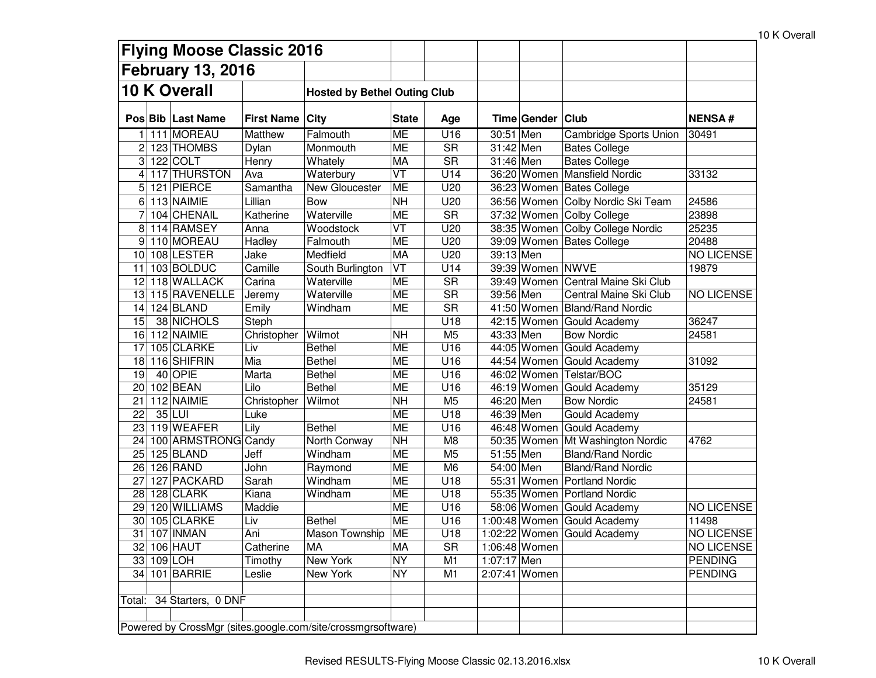|                     |                                                              | <b>Flying Moose Classic 2016</b> |                 |                                     |                                   |                        |             |                    |                                    |                   |
|---------------------|--------------------------------------------------------------|----------------------------------|-----------------|-------------------------------------|-----------------------------------|------------------------|-------------|--------------------|------------------------------------|-------------------|
|                     |                                                              | <b>February 13, 2016</b>         |                 |                                     |                                   |                        |             |                    |                                    |                   |
| <b>10 K Overall</b> |                                                              |                                  |                 | <b>Hosted by Bethel Outing Club</b> |                                   |                        |             |                    |                                    |                   |
|                     |                                                              |                                  |                 |                                     |                                   |                        |             |                    |                                    |                   |
|                     |                                                              | Pos Bib Last Name                | First Name City |                                     | <b>State</b>                      | Age                    |             | Time Gender   Club |                                    | <b>NENSA#</b>     |
|                     |                                                              | 111 MOREAU                       | <b>Matthew</b>  | Falmouth                            | ME                                | U <sub>16</sub>        | 30:51 Men   |                    | <b>Cambridge Sports Union</b>      | 30491             |
| 2                   |                                                              | 123 THOMBS                       | Dylan           | Monmouth                            | <b>ME</b>                         | <b>SR</b>              | $31:42$ Men |                    | <b>Bates College</b>               |                   |
| 3                   |                                                              | $122$ COLT                       | Henry           | Whately                             | MA                                | $\overline{\text{SR}}$ | 31:46 Men   |                    | <b>Bates College</b>               |                   |
| 4                   |                                                              | 117 THURSTON                     | Ava             | Waterbury                           | $\overline{\mathsf{VT}}$          | U14                    |             | 36:20 Women        | <b>Mansfield Nordic</b>            | 33132             |
| 5                   |                                                              | 121 PIERCE                       | Samantha        | New Gloucester                      | <b>ME</b>                         | U20                    |             |                    | 36:23 Women Bates College          |                   |
| 6                   |                                                              | 113 NAIMIE                       | Lillian         | <b>Bow</b>                          | <b>NH</b>                         | U20                    |             |                    | 36:56 Women Colby Nordic Ski Team  | 24586             |
|                     |                                                              | 104 CHENAIL                      | Katherine       | Waterville                          | <b>ME</b>                         | $\overline{\text{SR}}$ |             |                    | 37:32 Women Colby College          | 23898             |
| 8                   |                                                              | 114 RAMSEY                       | Anna            | Woodstock                           | $\overline{\mathsf{VT}}$          | U20                    |             |                    | 38:35 Women Colby College Nordic   | 25235             |
| 9                   |                                                              | 110 MOREAU                       | Hadley          | Falmouth                            | <b>ME</b>                         | U20                    |             |                    | 39:09 Women Bates College          | 20488             |
| 10                  |                                                              | 108 LESTER                       | Jake            | Medfield                            | MA                                | U20                    | 39:13 Men   |                    |                                    | <b>NO LICENSE</b> |
| 11                  |                                                              | 103 BOLDUC                       | Camille         | South Burlington                    | $\overline{\mathsf{V}\mathsf{T}}$ | U14                    |             | 39:39 Women NWVE   |                                    | 19879             |
| 12                  |                                                              | 118 WALLACK                      | Carina          | Waterville                          | <b>ME</b>                         | $\overline{\text{SR}}$ |             |                    | 39:49 Women Central Maine Ski Club |                   |
| 13                  |                                                              | 115 RAVENELLE                    | Jeremy          | Waterville                          | <b>ME</b>                         | $\overline{\text{SR}}$ | 39:56 Men   |                    | Central Maine Ski Club             | <b>NO LICENSE</b> |
| 14                  |                                                              | 124 BLAND                        | Emily           | Windham                             | ME                                | $\overline{\text{SR}}$ |             |                    | 41:50 Women Bland/Rand Nordic      |                   |
| 15                  |                                                              | 38 NICHOLS                       | Steph           |                                     |                                   | U18                    |             |                    | 42:15 Women Gould Academy          | 36247             |
| 16                  |                                                              | 112 NAIMIE                       | Christopher     | Wilmot                              | <b>NH</b>                         | M <sub>5</sub>         | 43:33 Men   |                    | <b>Bow Nordic</b>                  | 24581             |
| 17                  |                                                              | 105 CLARKE                       | Liv             | <b>Bethel</b>                       | <b>ME</b>                         | U16                    |             |                    | 44:05 Women Gould Academy          |                   |
| 18                  |                                                              | 116 SHIFRIN                      | Mia             | <b>Bethel</b>                       | <b>ME</b>                         | U16                    |             |                    | 44:54 Women Gould Academy          | 31092             |
| 19                  |                                                              | 40 OPIE                          | Marta           | <b>Bethel</b>                       | <b>ME</b>                         | U16                    |             | 46:02 Women        | Telstar/BOC                        |                   |
| 20                  |                                                              | 102 BEAN                         | Lilo            | <b>Bethel</b>                       | <b>ME</b>                         | U16                    |             |                    | 46:19 Women Gould Academy          | 35129             |
| 21                  |                                                              | 112 NAIMIE                       | Christopher     | Wilmot                              | <b>NH</b>                         | M <sub>5</sub>         | 46:20 Men   |                    | <b>Bow Nordic</b>                  | 24581             |
| 22                  |                                                              | 35 LUI                           | Luke            |                                     | <b>ME</b>                         | U18                    | 46:39 Men   |                    | Gould Academy                      |                   |
| 23                  |                                                              | 119 WEAFER                       | Lily            | <b>Bethel</b>                       | <b>ME</b>                         | U16                    |             |                    | 46:48 Women Gould Academy          |                   |
| 24                  |                                                              | 100 ARMSTRONG Candy              |                 | North Conway                        | $\overline{NH}$                   | M <sub>8</sub>         |             |                    | 50:35 Women Mt Washington Nordic   | 4762              |
| 25                  |                                                              | 125 BLAND                        | Jeff            | Windham                             | <b>ME</b>                         | M <sub>5</sub>         | 51:55 Men   |                    | <b>Bland/Rand Nordic</b>           |                   |
| 26                  |                                                              | 126 RAND                         | John            | Raymond                             | <b>ME</b>                         | M <sub>6</sub>         | 54:00 Men   |                    | <b>Bland/Rand Nordic</b>           |                   |
| 27                  |                                                              | 127 PACKARD                      | Sarah           | Windham                             | <b>ME</b>                         | U18                    |             |                    | 55:31 Women Portland Nordic        |                   |
| 28                  |                                                              | 128 CLARK                        | Kiana           | Windham                             | <b>ME</b>                         | U18                    |             |                    | 55:35 Women Portland Nordic        |                   |
| 29                  |                                                              | 120 WILLIAMS                     | Maddie          |                                     | ME                                | U16                    |             |                    | 58:06 Women Gould Academy          | <b>NO LICENSE</b> |
| 30                  |                                                              | 105 CLARKE                       | Liv             | <b>Bethel</b>                       | ME                                | U16                    |             |                    | 1:00:48 Women Gould Academy        | 11498             |
|                     |                                                              | 31 107 INMAN                     | Ani             | Mason Township ME                   |                                   | U18                    |             |                    | 1:02:22 Women Gould Academy        | NO LICENSE        |
|                     |                                                              | 32 106 HAUT                      | Catherine       | MA                                  | MA                                | <b>SR</b>              |             | 1:06:48 Women      |                                    | NO LICENSE        |
|                     |                                                              | 33 109 LOH                       | Timothy         | New York                            | <b>NY</b>                         | M <sub>1</sub>         | 1:07:17 Men |                    |                                    | <b>PENDING</b>    |
|                     |                                                              | 34 101 BARRIE                    | Leslie          | <b>New York</b>                     | <b>NY</b>                         | M <sub>1</sub>         |             | 2:07:41 Women      |                                    | <b>PENDING</b>    |
|                     |                                                              |                                  |                 |                                     |                                   |                        |             |                    |                                    |                   |
|                     |                                                              | Total: 34 Starters, 0 DNF        |                 |                                     |                                   |                        |             |                    |                                    |                   |
|                     |                                                              |                                  |                 |                                     |                                   |                        |             |                    |                                    |                   |
|                     | Powered by CrossMgr (sites.google.com/site/crossmgrsoftware) |                                  |                 |                                     |                                   |                        |             |                    |                                    |                   |